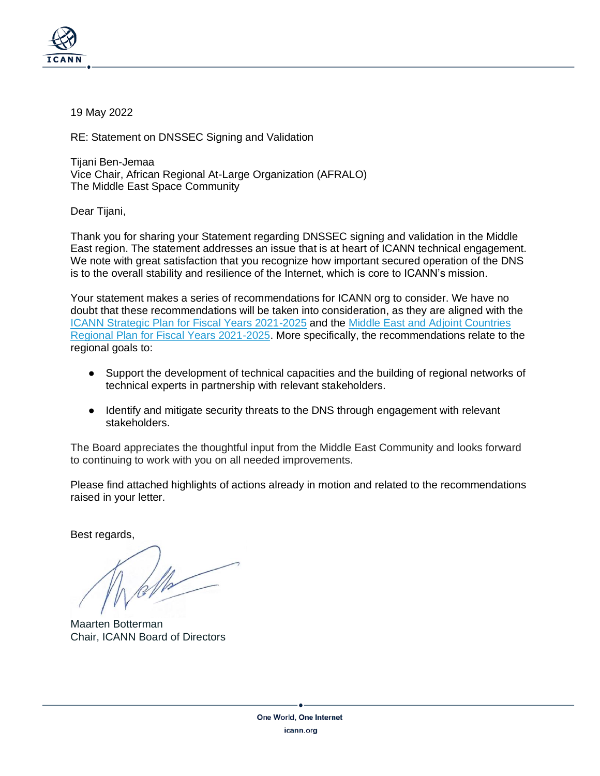

19 May 2022

RE: Statement on DNSSEC Signing and Validation

Tijani Ben-Jemaa Vice Chair, African Regional At-Large Organization (AFRALO) The Middle East Space Community

Dear Tijani,

Thank you for sharing your Statement regarding DNSSEC signing and validation in the Middle East region. The statement addresses an issue that is at heart of ICANN technical engagement. We note with great satisfaction that you recognize how important secured operation of the DNS is to the overall stability and resilience of the Internet, which is core to ICANN's mission.

Your statement makes a series of recommendations for ICANN org to consider. We have no doubt that these recommendations will be taken into consideration, as they are aligned with the [ICANN Strategic Plan for Fiscal Years 2021-2025](https://www.icann.org/en/system/files/files/strategic-plan-2021-2025-24jun19-en.pdf) and the [Middle East and Adjoint Countries](https://www.icann.org/en/system/files/files/meac-regional-plan-fy21-25-26jun20-en.pdf)  [Regional Plan for Fiscal Years 2021-2025.](https://www.icann.org/en/system/files/files/meac-regional-plan-fy21-25-26jun20-en.pdf) More specifically, the recommendations relate to the regional goals to:

- Support the development of technical capacities and the building of regional networks of technical experts in partnership with relevant stakeholders.
- Identify and mitigate security threats to the DNS through engagement with relevant stakeholders.

The Board appreciates the thoughtful input from the Middle East Community and looks forward to continuing to work with you on all needed improvements.

Please find attached highlights of actions already in motion and related to the recommendations raised in your letter.

Best regards,

Maarten Botterman Chair, ICANN Board of Directors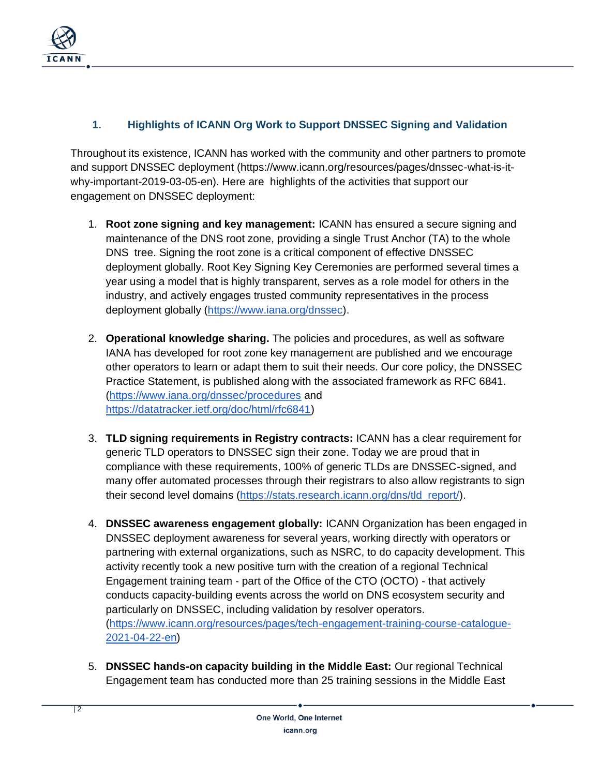

## **1. Highlights of ICANN Org Work to Support DNSSEC Signing and Validation**

Throughout its existence, ICANN has worked with the community and other partners to promote and support DNSSEC deployment (https://www.icann.org/resources/pages/dnssec-what-is-itwhy-important-2019-03-05-en). Here are highlights of the activities that support our engagement on DNSSEC deployment:

- 1. **Root zone signing and key management:** ICANN has ensured a secure signing and maintenance of the DNS root zone, providing a single Trust Anchor (TA) to the whole DNS tree. Signing the root zone is a critical component of effective DNSSEC deployment globally. Root Key Signing Key Ceremonies are performed several times a year using a model that is highly transparent, serves as a role model for others in the industry, and actively engages trusted community representatives in the process deployment globally [\(https://www.iana.org/dnssec\)](https://www.iana.org/dnssec).
- 2. **Operational knowledge sharing.** The policies and procedures, as well as software IANA has developed for root zone key management are published and we encourage other operators to learn or adapt them to suit their needs. Our core policy, the DNSSEC Practice Statement, is published along with the associated framework as RFC 6841. [\(https://www.iana.org/dnssec/procedures](https://www.iana.org/dnssec/procedures) and [https://datatracker.ietf.org/doc/html/rfc6841\)](https://datatracker.ietf.org/doc/html/rfc6841)
- 3. **TLD signing requirements in Registry contracts:** ICANN has a clear requirement for generic TLD operators to DNSSEC sign their zone. Today we are proud that in compliance with these requirements, 100% of generic TLDs are DNSSEC-signed, and many offer automated processes through their registrars to also allow registrants to sign their second level domains [\(https://stats.research.icann.org/dns/tld\\_report/\)](https://stats.research.icann.org/dns/tld_report/).
- 4. **DNSSEC awareness engagement globally:** ICANN Organization has been engaged in DNSSEC deployment awareness for several years, working directly with operators or partnering with external organizations, such as NSRC, to do capacity development. This activity recently took a new positive turn with the creation of a regional Technical Engagement training team - part of the Office of the CTO (OCTO) - that actively conducts capacity-building events across the world on DNS ecosystem security and particularly on DNSSEC, including validation by resolver operators. [\(https://www.icann.org/resources/pages/tech-engagement-training-course-catalogue-](https://www.icann.org/resources/pages/tech-engagement-training-course-catalogue-2021-04-22-en)[2021-04-22-en\)](https://www.icann.org/resources/pages/tech-engagement-training-course-catalogue-2021-04-22-en)
- 5. **DNSSEC hands-on capacity building in the Middle East:** Our regional Technical Engagement team has conducted more than 25 training sessions in the Middle East